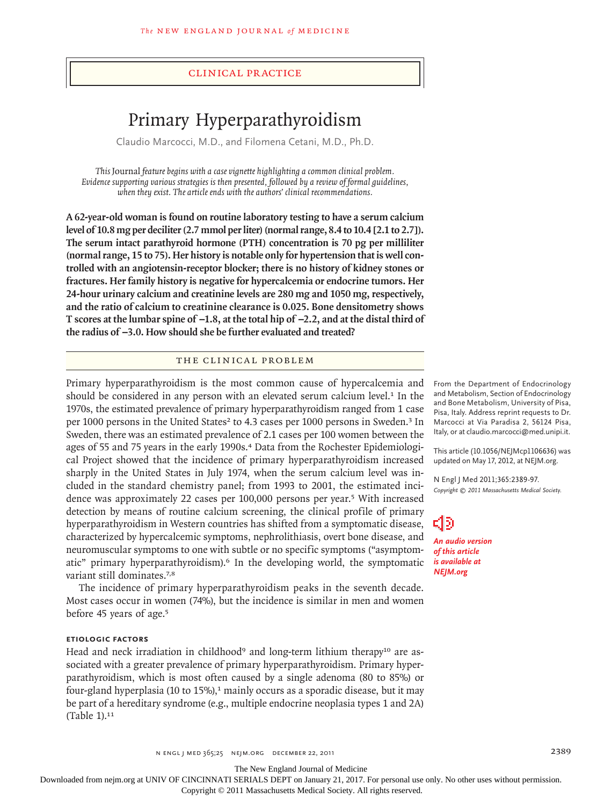### clinical practice

# Primary Hyperparathyroidism

Claudio Marcocci, M.D., and Filomena Cetani, M.D., Ph.D.

*This* Journal *feature begins with a case vignette highlighting a common clinical problem. Evidence supporting various strategies is then presented, followed by a review of formal guidelines, when they exist. The article ends with the authors' clinical recommendations.* 

**A 62-year-old woman is found on routine laboratory testing to have a serum calcium level of 10.8 mg per deciliter (2.7 mmol per liter) (normal range, 8.4 to 10.4 [2.1 to 2.7]). The serum intact parathyroid hormone (PTH) concentration is 70 pg per milliliter (normal range, 15 to 75). Her history is notable only for hypertension that is well controlled with an angiotensin-receptor blocker; there is no history of kidney stones or fractures. Her family history is negative for hypercalcemia or endocrine tumors. Her 24-hour urinary calcium and creatinine levels are 280 mg and 1050 mg, respectively, and the ratio of calcium to creatinine clearance is 0.025. Bone densitometry shows T scores at the lumbar spine of −1.8, at the total hip of −2.2, and at the distal third of the radius of −3.0. How should she be further evaluated and treated?**

## THE CLINICAL PROBLEM

Primary hyperparathyroidism is the most common cause of hypercalcemia and should be considered in any person with an elevated serum calcium level. $1$  In the 1970s, the estimated prevalence of primary hyperparathyroidism ranged from 1 case per 1000 persons in the United States<sup>2</sup> to 4.3 cases per 1000 persons in Sweden.<sup>3</sup> In Sweden, there was an estimated prevalence of 2.1 cases per 100 women between the ages of 55 and 75 years in the early 1990s.<sup>4</sup> Data from the Rochester Epidemiological Project showed that the incidence of primary hyperparathyroidism increased sharply in the United States in July 1974, when the serum calcium level was included in the standard chemistry panel; from 1993 to 2001, the estimated incidence was approximately 22 cases per 100,000 persons per year.<sup>5</sup> With increased detection by means of routine calcium screening, the clinical profile of primary hyperparathyroidism in Western countries has shifted from a symptomatic disease, characterized by hypercalcemic symptoms, nephrolithiasis, overt bone disease, and neuromuscular symptoms to one with subtle or no specific symptoms ("asymptomatic" primary hyperparathyroidism).6 In the developing world, the symptomatic variant still dominates.<sup>7,8</sup>

The incidence of primary hyperparathyroidism peaks in the seventh decade. Most cases occur in women (74%), but the incidence is similar in men and women before 45 years of age.<sup>5</sup>

## **Etiologic Factors**

Head and neck irradiation in childhood<sup>9</sup> and long-term lithium therapy<sup>10</sup> are associated with a greater prevalence of primary hyperparathyroidism. Primary hyperparathyroidism, which is most often caused by a single adenoma (80 to 85%) or four-gland hyperplasia (10 to  $15\%$ ),<sup>1</sup> mainly occurs as a sporadic disease, but it may be part of a hereditary syndrome (e.g., multiple endocrine neoplasia types 1 and 2A) (Table 1).<sup>11</sup>

From the Department of Endocrinology and Metabolism, Section of Endocrinology and Bone Metabolism, University of Pisa, Pisa, Italy. Address reprint requests to Dr. Marcocci at Via Paradisa 2, 56124 Pisa, Italy, or at claudio.marcocci@med.unipi.it.

This article (10.1056/NEJMcp1106636) was updated on May 17, 2012, at NEJM.org.

N Engl J Med 2011;365:2389-97. *Copyright © 2011 Massachusetts Medical Society.*

## 30

*An audio version of this article is available at NEJM.org*

The New England Journal of Medicine

Downloaded from nejm.org at UNIV OF CINCINNATI SERIALS DEPT on January 21, 2017. For personal use only. No other uses without permission.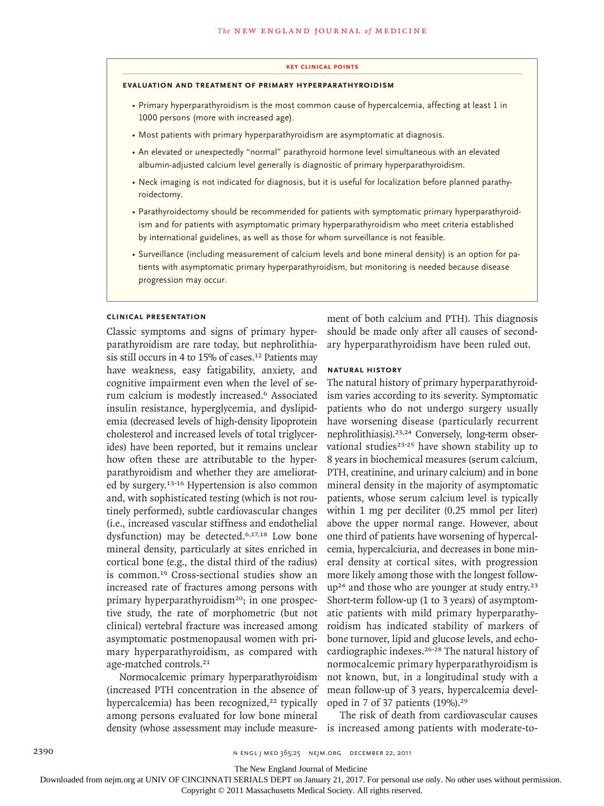#### **key Clinical points**

#### **evaluation and treatment of primary hyperparathyroidism**

- Primary hyperparathyroidism is the most common cause of hypercalcemia, affecting at least 1 in 1000 persons (more with increased age).
- Most patients with primary hyperparathyroidism are asymptomatic at diagnosis.
- An elevated or unexpectedly "normal" parathyroid hormone level simultaneous with an elevated albumin-adjusted calcium level generally is diagnostic of primary hyperparathyroidism.
- Neck imaging is not indicated for diagnosis, but it is useful for localization before planned parathyroidectomy.
- Parathyroidectomy should be recommended for patients with symptomatic primary hyperparathyroidism and for patients with asymptomatic primary hyperparathyroidism who meet criteria established by international guidelines, as well as those for whom surveillance is not feasible.
- Surveillance (including measurement of calcium levels and bone mineral density) is an option for patients with asymptomatic primary hyperparathyroidism, but monitoring is needed because disease progression may occur.

#### **Clinical Presentation**

Classic symptoms and signs of primary hyperparathyroidism are rare today, but nephrolithiasis still occurs in 4 to 15% of cases.<sup>12</sup> Patients may have weakness, easy fatigability, anxiety, and cognitive impairment even when the level of serum calcium is modestly increased.<sup>6</sup> Associated insulin resistance, hyperglycemia, and dyslipidemia (decreased levels of high-density lipoprotein cholesterol and increased levels of total triglycerides) have been reported, but it remains unclear how often these are attributable to the hyperparathyroidism and whether they are ameliorated by surgery.13-16 Hypertension is also common and, with sophisticated testing (which is not routinely performed), subtle cardiovascular changes (i.e., increased vascular stiffness and endothelial dysfunction) may be detected.<sup>6,17,18</sup> Low bone mineral density, particularly at sites enriched in cortical bone (e.g., the distal third of the radius) is common.19 Cross-sectional studies show an increased rate of fractures among persons with primary hyperparathyroidism<sup>20</sup>; in one prospective study, the rate of morphometric (but not clinical) vertebral fracture was increased among asymptomatic postmenopausal women with primary hyperparathyroidism, as compared with age-matched controls.<sup>21</sup>

Normocalcemic primary hyperparathyroidism (increased PTH concentration in the absence of hypercalcemia) has been recognized,<sup>22</sup> typically among persons evaluated for low bone mineral density (whose assessment may include measurement of both calcium and PTH). This diagnosis should be made only after all causes of secondary hyperparathyroidism have been ruled out.

### **Natural History**

The natural history of primary hyperparathyroidism varies according to its severity. Symptomatic patients who do not undergo surgery usually have worsening disease (particularly recurrent nephrolithiasis).23,24 Conversely, long-term observational studies $23-25$  have shown stability up to 8 years in biochemical measures (serum calcium, PTH, creatinine, and urinary calcium) and in bone mineral density in the majority of asymptomatic patients, whose serum calcium level is typically within 1 mg per deciliter (0.25 mmol per liter) above the upper normal range. However, about one third of patients have worsening of hypercalcemia, hypercalciuria, and decreases in bone mineral density at cortical sites, with progression more likely among those with the longest follow $up<sup>24</sup>$  and those who are younger at study entry.<sup>23</sup> Short-term follow-up (1 to 3 years) of asymptomatic patients with mild primary hyperparathyroidism has indicated stability of markers of bone turnover, lipid and glucose levels, and echocardiographic indexes.26-28 The natural history of normocalcemic primary hyperparathyroidism is not known, but, in a longitudinal study with a mean follow-up of 3 years, hypercalcemia developed in 7 of 37 patients (19%).<sup>29</sup>

The risk of death from cardiovascular causes is increased among patients with moderate-to-

The New England Journal of Medicine

Downloaded from nejm.org at UNIV OF CINCINNATI SERIALS DEPT on January 21, 2017. For personal use only. No other uses without permission.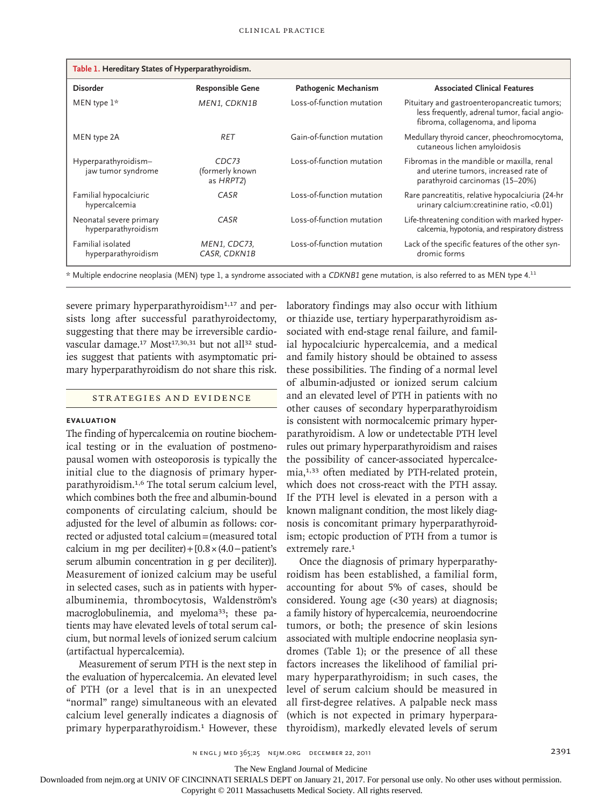| Table 1. Hereditary States of Hyperparathyroidism. |                                                   |                           |                                                                                                                                   |  |
|----------------------------------------------------|---------------------------------------------------|---------------------------|-----------------------------------------------------------------------------------------------------------------------------------|--|
| <b>Disorder</b>                                    | <b>Responsible Gene</b>                           | Pathogenic Mechanism      | <b>Associated Clinical Features</b>                                                                                               |  |
| MEN type $1*$                                      | MEN1, CDKN1B                                      | Loss-of-function mutation | Pituitary and gastroenteropancreatic tumors;<br>less frequently, adrenal tumor, facial angio-<br>fibroma, collagenoma, and lipoma |  |
| MEN type 2A                                        | <b>RET</b>                                        | Gain-of-function mutation | Medullary thyroid cancer, pheochromocytoma,<br>cutaneous lichen amyloidosis                                                       |  |
| Hyperparathyroidism-<br>jaw tumor syndrome         | CDC <sub>73</sub><br>(formerly known<br>as HRPT2) | Loss-of-function mutation | Fibromas in the mandible or maxilla, renal<br>and uterine tumors, increased rate of<br>parathyroid carcinomas (15-20%)            |  |
| Familial hypocalciuric<br>hypercalcemia            | CASR                                              | Loss-of-function mutation | Rare pancreatitis, relative hypocalciuria (24-hr<br>urinary calcium: creatinine ratio, <0.01)                                     |  |
| Neonatal severe primary<br>hyperparathyroidism     | CASR                                              | Loss-of-function mutation | Life-threatening condition with marked hyper-<br>calcemia, hypotonia, and respiratory distress                                    |  |
| <b>Familial</b> isolated<br>hyperparathyroidism    | MEN1, CDC73,<br>CASR, CDKN1B                      | Loss-of-function mutation | Lack of the specific features of the other syn-<br>dromic forms                                                                   |  |

\* Multiple endocrine neoplasia (MEN) type 1, a syndrome associated with a *CDKNB1* gene mutation, is also referred to as MEN type 4.<sup>11</sup>

severe primary hyperparathyroidism<sup>1,17</sup> and persists long after successful parathyroidectomy, suggesting that there may be irreversible cardiovascular damage.<sup>17</sup> Most<sup>17,30,31</sup> but not all<sup>32</sup> studies suggest that patients with asymptomatic primary hyperparathyroidism do not share this risk.

#### STRATEGIES AND EVIDENCE

## **Evaluation**

The finding of hypercalcemia on routine biochemical testing or in the evaluation of postmenopausal women with osteoporosis is typically the initial clue to the diagnosis of primary hyperparathyroidism.1,6 The total serum calcium level, which combines both the free and albumin-bound components of circulating calcium, should be adjusted for the level of albumin as follows: corrected or adjusted total calcium=(measured total calcium in mg per deciliter)+[0.8×(4.0−patient's serum albumin concentration in g per deciliter)]. Measurement of ionized calcium may be useful in selected cases, such as in patients with hyperalbuminemia, thrombocytosis, Waldenström's macroglobulinemia, and myeloma<sup>33</sup>; these patients may have elevated levels of total serum calcium, but normal levels of ionized serum calcium (artifactual hypercalcemia).

Measurement of serum PTH is the next step in the evaluation of hypercalcemia. An elevated level of PTH (or a level that is in an unexpected "normal" range) simultaneous with an elevated calcium level generally indicates a diagnosis of primary hyperparathyroidism.<sup>1</sup> However, these

laboratory findings may also occur with lithium or thiazide use, tertiary hyperparathyroidism associated with end-stage renal failure, and familial hypocalciuric hypercalcemia, and a medical and family history should be obtained to assess these possibilities. The finding of a normal level of albumin-adjusted or ionized serum calcium and an elevated level of PTH in patients with no other causes of secondary hyperparathyroidism is consistent with normocalcemic primary hyperparathyroidism. A low or undetectable PTH level rules out primary hyperparathyroidism and raises the possibility of cancer-associated hypercalcemia,<sup>1,33</sup> often mediated by PTH-related protein, which does not cross-react with the PTH assay. If the PTH level is elevated in a person with a known malignant condition, the most likely diagnosis is concomitant primary hyperparathyroidism; ectopic production of PTH from a tumor is extremely rare.<sup>1</sup>

Once the diagnosis of primary hyperparathyroidism has been established, a familial form, accounting for about 5% of cases, should be considered. Young age (<30 years) at diagnosis; a family history of hypercalcemia, neuroendocrine tumors, or both; the presence of skin lesions associated with multiple endocrine neoplasia syndromes (Table 1); or the presence of all these factors increases the likelihood of familial primary hyperparathyroidism; in such cases, the level of serum calcium should be measured in all first-degree relatives. A palpable neck mass (which is not expected in primary hyperparathyroidism), markedly elevated levels of serum

The New England Journal of Medicine

Downloaded from nejm.org at UNIV OF CINCINNATI SERIALS DEPT on January 21, 2017. For personal use only. No other uses without permission.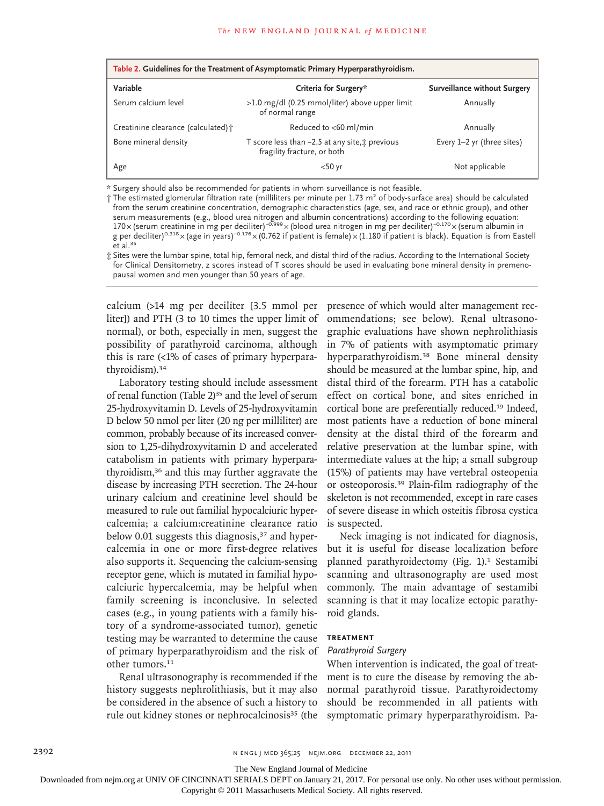| Table 2. Guidelines for the Treatment of Asymptomatic Primary Hyperparathyroidism. |                                                                               |                                     |  |  |
|------------------------------------------------------------------------------------|-------------------------------------------------------------------------------|-------------------------------------|--|--|
| Variable                                                                           | Criteria for Surgery*                                                         | <b>Surveillance without Surgery</b> |  |  |
| Serum calcium level                                                                | $>1.0$ mg/dl (0.25 mmol/liter) above upper limit<br>of normal range           | Annually                            |  |  |
| Creatinine clearance (calculated) +                                                | Reduced to <60 ml/min                                                         | Annually                            |  |  |
| Bone mineral density                                                               | T score less than -2.5 at any site, t previous<br>fragility fracture, or both | Every $1-2$ yr (three sites)        |  |  |
| Age                                                                                | $<$ 50 yr                                                                     | Not applicable                      |  |  |

\* Surgery should also be recommended for patients in whom surveillance is not feasible.

† The estimated glomerular filtration rate (milliliters per minute per 1.73 m2 of body-surface area) should be calculated from the serum creatinine concentration, demographic characteristics (age, sex, and race or ethnic group), and other serum measurements (e.g., blood urea nitrogen and albumin concentrations) according to the following equation: 170×(serum creatinine in mg per deciliter)<sup>−0.999</sup>×(blood urea nitrogen in mg per deciliter)<sup>−0.170</sup>×(serum albumin in g per deciliter)<sup>0.318</sup>×(age in years)<sup>-0.176</sup>×(0.762 if patient is female)×(1.180 if patient is black). Equation is from Eastell et al.<sup>35</sup>

‡ Sites were the lumbar spine, total hip, femoral neck, and distal third of the radius. According to the International Society for Clinical Densitometry, z scores instead of T scores should be used in evaluating bone mineral density in premenopausal women and men younger than 50 years of age.

calcium (>14 mg per deciliter [3.5 mmol per liter]) and PTH (3 to 10 times the upper limit of normal), or both, especially in men, suggest the possibility of parathyroid carcinoma, although this is rare (<1% of cases of primary hyperparathyroidism).<sup>34</sup>

Laboratory testing should include assessment of renal function (Table 2)<sup>35</sup> and the level of serum 25-hydroxyvitamin D. Levels of 25-hydroxyvitamin D below 50 nmol per liter (20 ng per milliliter) are common, probably because of its increased conversion to 1,25-dihydroxyvitamin D and accelerated catabolism in patients with primary hyperparathyroidism,36 and this may further aggravate the disease by increasing PTH secretion. The 24-hour urinary calcium and creatinine level should be measured to rule out familial hypocalciuric hypercalcemia; a calcium:creatinine clearance ratio below 0.01 suggests this diagnosis,<sup>37</sup> and hypercalcemia in one or more first-degree relatives also supports it. Sequencing the calcium-sensing receptor gene, which is mutated in familial hypocalciuric hypercalcemia, may be helpful when family screening is inconclusive. In selected cases (e.g., in young patients with a family history of a syndrome-associated tumor), genetic testing may be warranted to determine the cause of primary hyperparathyroidism and the risk of other tumors.<sup>11</sup>

Renal ultrasonography is recommended if the history suggests nephrolithiasis, but it may also be considered in the absence of such a history to rule out kidney stones or nephrocalcinosis<sup>35</sup> (the presence of which would alter management recommendations; see below). Renal ultrasonographic evaluations have shown nephrolithiasis in 7% of patients with asymptomatic primary hyperparathyroidism.38 Bone mineral density should be measured at the lumbar spine, hip, and distal third of the forearm. PTH has a catabolic effect on cortical bone, and sites enriched in cortical bone are preferentially reduced.19 Indeed, most patients have a reduction of bone mineral density at the distal third of the forearm and relative preservation at the lumbar spine, with intermediate values at the hip; a small subgroup (15%) of patients may have vertebral osteopenia or osteoporosis.39 Plain-film radiography of the skeleton is not recommended, except in rare cases of severe disease in which osteitis fibrosa cystica is suspected.

Neck imaging is not indicated for diagnosis, but it is useful for disease localization before planned parathyroidectomy (Fig. 1).<sup>1</sup> Sestamibi scanning and ultrasonography are used most commonly. The main advantage of sestamibi scanning is that it may localize ectopic parathyroid glands.

## **Treatment**

### *Parathyroid Surgery*

When intervention is indicated, the goal of treatment is to cure the disease by removing the abnormal parathyroid tissue. Parathyroidectomy should be recommended in all patients with symptomatic primary hyperparathyroidism. Pa-

2392 n engl j med 365;25 nejm.org december 22, 2011

The New England Journal of Medicine

Downloaded from nejm.org at UNIV OF CINCINNATI SERIALS DEPT on January 21, 2017. For personal use only. No other uses without permission.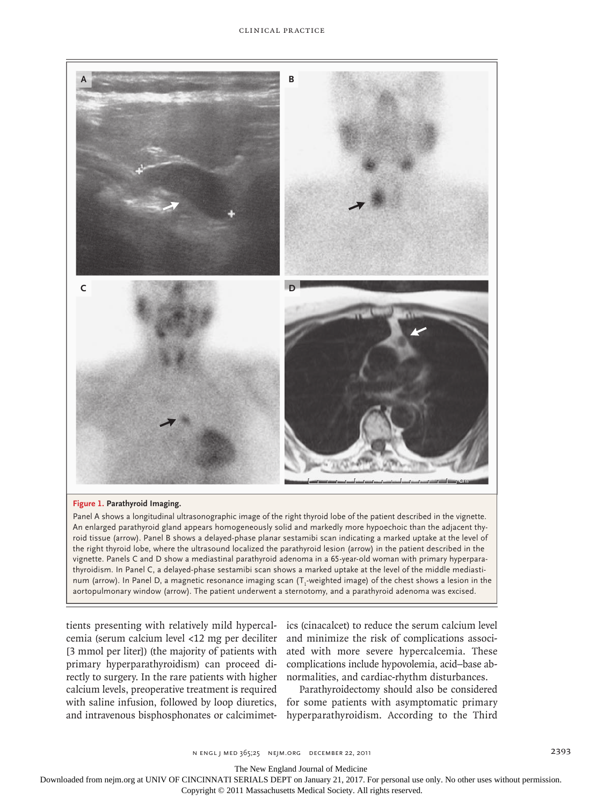

#### **Figure 1. Parathyroid Imaging.**

Panel A shows a longitudinal ultrasonographic image of the right thyroid lobe of the patient described in the vignette. An enlarged parathyroid gland appears homogeneously solid and markedly more hypoechoic than the adjacent thyroid tissue (arrow). Panel B shows a delayed-phase planar sestamibi scan indicating a marked uptake at the level of the right thyroid lobe, where the ultrasound localized the parathyroid lesion (arrow) in the patient described in the vignette. Panels C and D show a mediastinal parathyroid adenoma in a 65-year-old woman with primary hyperparathyroidism. In Panel C, a delayed-phase sestamibi scan shows a marked uptake at the level of the middle mediastinum (arrow). In Panel D, a magnetic resonance imaging scan (T $_1$ -weighted image) of the chest shows a lesion in the aortopulmonary window (arrow). The patient underwent a sternotomy, and a parathyroid adenoma was excised.

tients presenting with relatively mild hypercalcemia (serum calcium level <12 mg per deciliter [3 mmol per liter]) (the majority of patients with primary hyperparathyroidism) can proceed directly to surgery. In the rare patients with higher calcium levels, preoperative treatment is required with saline infusion, followed by loop diuretics, and intravenous bisphosphonates or calcimimet-

ics (cinacalcet) to reduce the serum calcium level and minimize the risk of complications associated with more severe hypercalcemia. These complications include hypovolemia, acid−base abnormalities, and cardiac-rhythm disturbances.

Parathyroidectomy should also be considered for some patients with asymptomatic primary hyperparathyroidism. According to the Third

The New England Journal of Medicine

Downloaded from nejm.org at UNIV OF CINCINNATI SERIALS DEPT on January 21, 2017. For personal use only. No other uses without permission.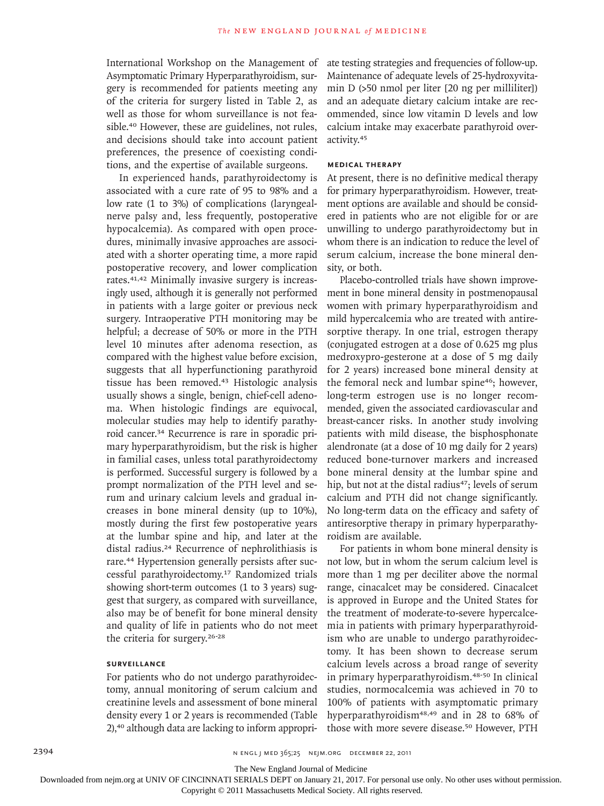International Workshop on the Management of Asymptomatic Primary Hyperparathyroidism, surgery is recommended for patients meeting any of the criteria for surgery listed in Table 2, as well as those for whom surveillance is not feasible.40 However, these are guidelines, not rules, and decisions should take into account patient preferences, the presence of coexisting conditions, and the expertise of available surgeons.

In experienced hands, parathyroidectomy is associated with a cure rate of 95 to 98% and a low rate (1 to 3%) of complications (laryngealnerve palsy and, less frequently, postoperative hypocalcemia). As compared with open procedures, minimally invasive approaches are associated with a shorter operating time, a more rapid postoperative recovery, and lower complication rates.41,42 Minimally invasive surgery is increasingly used, although it is generally not performed in patients with a large goiter or previous neck surgery. Intraoperative PTH monitoring may be helpful; a decrease of 50% or more in the PTH level 10 minutes after adenoma resection, as compared with the highest value before excision, suggests that all hyperfunctioning parathyroid tissue has been removed.43 Histologic analysis usually shows a single, benign, chief-cell adenoma. When histologic findings are equivocal, molecular studies may help to identify parathyroid cancer.34 Recurrence is rare in sporadic primary hyperparathyroidism, but the risk is higher in familial cases, unless total parathyroidectomy is performed. Successful surgery is followed by a prompt normalization of the PTH level and serum and urinary calcium levels and gradual increases in bone mineral density (up to 10%), mostly during the first few postoperative years at the lumbar spine and hip, and later at the distal radius.24 Recurrence of nephrolithiasis is rare.<sup>44</sup> Hypertension generally persists after successful parathyroidectomy.17 Randomized trials showing short-term outcomes (1 to 3 years) suggest that surgery, as compared with surveillance, also may be of benefit for bone mineral density and quality of life in patients who do not meet the criteria for surgery.26-28

## **Surveillance**

For patients who do not undergo parathyroidectomy, annual monitoring of serum calcium and creatinine levels and assessment of bone mineral density every 1 or 2 years is recommended (Table 2),<sup>40</sup> although data are lacking to inform appropriate testing strategies and frequencies of follow-up. Maintenance of adequate levels of 25-hydroxyvitamin D (>50 nmol per liter [20 ng per milliliter]) and an adequate dietary calcium intake are recommended, since low vitamin D levels and low calcium intake may exacerbate parathyroid overactivity.<sup>45</sup>

#### **Medical Therapy**

At present, there is no definitive medical therapy for primary hyperparathyroidism. However, treatment options are available and should be considered in patients who are not eligible for or are unwilling to undergo parathyroidectomy but in whom there is an indication to reduce the level of serum calcium, increase the bone mineral density, or both.

Placebo-controlled trials have shown improvement in bone mineral density in postmenopausal women with primary hyperparathyroidism and mild hypercalcemia who are treated with antiresorptive therapy. In one trial, estrogen therapy (conjugated estrogen at a dose of 0.625 mg plus medroxypro-gesterone at a dose of 5 mg daily for 2 years) increased bone mineral density at the femoral neck and lumbar spine<sup>46</sup>; however, long-term estrogen use is no longer recommended, given the associated cardiovascular and breast-cancer risks. In another study involving patients with mild disease, the bisphosphonate alendronate (at a dose of 10 mg daily for 2 years) reduced bone-turnover markers and increased bone mineral density at the lumbar spine and hip, but not at the distal radius<sup>47</sup>; levels of serum calcium and PTH did not change significantly. No long-term data on the efficacy and safety of antiresorptive therapy in primary hyperparathyroidism are available.

For patients in whom bone mineral density is not low, but in whom the serum calcium level is more than 1 mg per deciliter above the normal range, cinacalcet may be considered. Cinacalcet is approved in Europe and the United States for the treatment of moderate-to-severe hypercalcemia in patients with primary hyperparathyroidism who are unable to undergo parathyroidectomy. It has been shown to decrease serum calcium levels across a broad range of severity in primary hyperparathyroidism.48-50 In clinical studies, normocalcemia was achieved in 70 to 100% of patients with asymptomatic primary hyperparathyroidism<sup>48,49</sup> and in 28 to 68% of those with more severe disease.50 However, PTH

The New England Journal of Medicine

Downloaded from nejm.org at UNIV OF CINCINNATI SERIALS DEPT on January 21, 2017. For personal use only. No other uses without permission.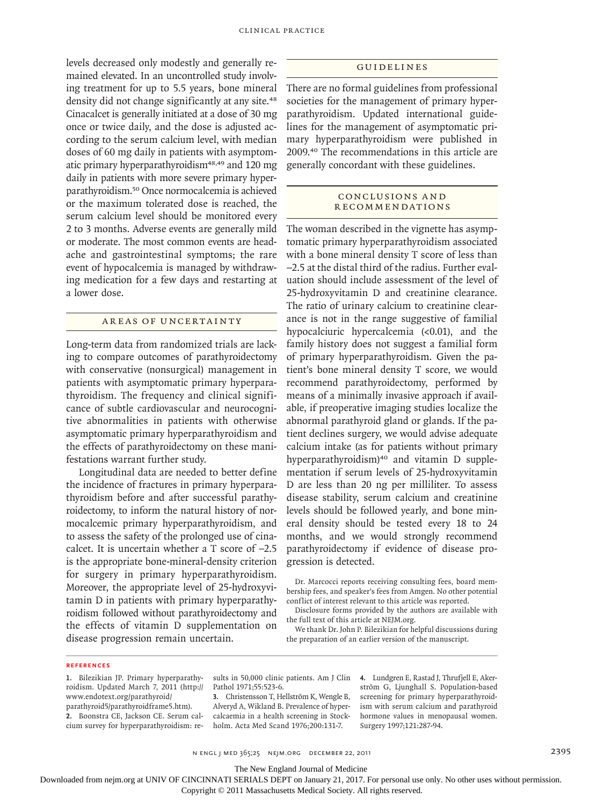levels decreased only modestly and generally remained elevated. In an uncontrolled study involving treatment for up to 5.5 years, bone mineral density did not change significantly at any site.<sup>48</sup> Cinacalcet is generally initiated at a dose of 30 mg once or twice daily, and the dose is adjusted according to the serum calcium level, with median doses of 60 mg daily in patients with asymptomatic primary hyperparathyroidism<sup>48,49</sup> and 120 mg daily in patients with more severe primary hyperparathyroidism.50 Once normocalcemia is achieved or the maximum tolerated dose is reached, the serum calcium level should be monitored every 2 to 3 months. Adverse events are generally mild or moderate. The most common events are headache and gastrointestinal symptoms; the rare event of hypocalcemia is managed by withdrawing medication for a few days and restarting at a lower dose.

## AREAS OF UNCERTAINTY

Long-term data from randomized trials are lacking to compare outcomes of parathyroidectomy with conservative (nonsurgical) management in patients with asymptomatic primary hyperparathyroidism. The frequency and clinical significance of subtle cardiovascular and neurocognitive abnormalities in patients with otherwise asymptomatic primary hyperparathyroidism and the effects of parathyroidectomy on these manifestations warrant further study.

Longitudinal data are needed to better define the incidence of fractures in primary hyperparathyroidism before and after successful parathyroidectomy, to inform the natural history of normocalcemic primary hyperparathyroidism, and to assess the safety of the prolonged use of cinacalcet. It is uncertain whether a T score of −2.5 is the appropriate bone-mineral-density criterion for surgery in primary hyperparathyroidism. Moreover, the appropriate level of 25-hydroxyvitamin D in patients with primary hyperparathyroidism followed without parathyroidectomy and the effects of vitamin D supplementation on disease progression remain uncertain.

#### Guidelines

There are no formal guidelines from professional societies for the management of primary hyperparathyroidism. Updated international guidelines for the management of asymptomatic primary hyperparathyroidism were published in 2009.40 The recommendations in this article are generally concordant with these guidelines.

#### CONCLUSIONS AND **RECOMMENDATIONS**

The woman described in the vignette has asymptomatic primary hyperparathyroidism associated with a bone mineral density T score of less than −2.5 at the distal third of the radius. Further evaluation should include assessment of the level of 25-hydroxyvitamin D and creatinine clearance. The ratio of urinary calcium to creatinine clearance is not in the range suggestive of familial hypocalciuric hypercalcemia (<0.01), and the family history does not suggest a familial form of primary hyperparathyroidism. Given the patient's bone mineral density T score, we would recommend parathyroidectomy, performed by means of a minimally invasive approach if available, if preoperative imaging studies localize the abnormal parathyroid gland or glands. If the patient declines surgery, we would advise adequate calcium intake (as for patients without primary hyperparathyroidism)<sup>40</sup> and vitamin D supplementation if serum levels of 25-hydroxyvitamin D are less than 20 ng per milliliter. To assess disease stability, serum calcium and creatinine levels should be followed yearly, and bone mineral density should be tested every 18 to 24 months, and we would strongly recommend parathyroidectomy if evidence of disease progression is detected.

Dr. Marcocci reports receiving consulting fees, board membership fees, and speaker's fees from Amgen. No other potential conflict of interest relevant to this article was reported.

Disclosure forms provided by the authors are available with the full text of this article at NEJM.org.

We thank Dr. John P. Bilezikian for helpful discussions during the preparation of an earlier version of the manuscript.

#### **References**

**1.** Bilezikian JP. Primary hyperparathyroidism. Updated March 7, 2011 (http:// www.endotext.org/parathyroid/ parathyroid5/parathyroidframe5.htm). **2.** Boonstra CE, Jackson CE. Serum calcium survey for hyperparathyroidism: re-

sults in 50,000 clinic patients. Am J Clin Pathol 1971;55:523-6.

**3.** Christensson T, Hellström K, Wengle B, Alveryd A, Wikland B. Prevalence of hypercalcaemia in a health screening in Stockholm. Acta Med Scand 1976;200:131-7.

**4.** Lundgren E, Rastad J, Thrufjell E, Akerström G, Ljunghall S. Population-based screening for primary hyperparathyroidism with serum calcium and parathyroid hormone values in menopausal women. Surgery 1997;121:287-94.

n engl j med 365;25 nejm.org december 22, 2011 2395

The New England Journal of Medicine

Downloaded from nejm.org at UNIV OF CINCINNATI SERIALS DEPT on January 21, 2017. For personal use only. No other uses without permission.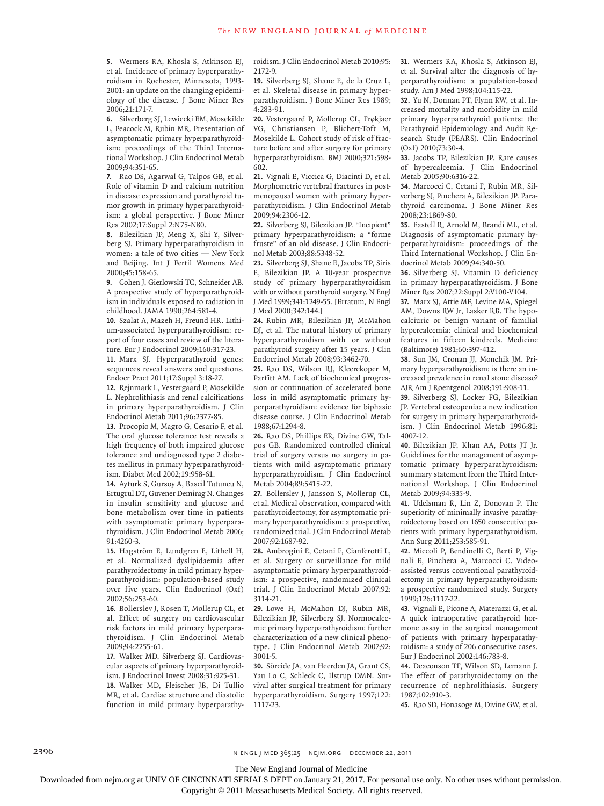**5.** Wermers RA, Khosla S, Atkinson EJ, et al. Incidence of primary hyperparathyroidism in Rochester, Minnesota, 1993- 2001: an update on the changing epidemiology of the disease. J Bone Miner Res 2006;21:171-7.

**6.** Silverberg SJ, Lewiecki EM, Mosekilde L, Peacock M, Rubin MR. Presentation of asymptomatic primary hyperparathyroidism: proceedings of the Third International Workshop. J Clin Endocrinol Metab 2009;94:351-65.

**7.** Rao DS, Agarwal G, Talpos GB, et al. Role of vitamin D and calcium nutrition in disease expression and parathyroid tumor growth in primary hyperparathyroidism: a global perspective. J Bone Miner Res 2002;17:Suppl 2:N75-N80.

**8.** Bilezikian JP, Meng X, Shi Y, Silverberg SJ. Primary hyperparathyroidism in women: a tale of two cities — New York and Beijing. Int J Fertil Womens Med 2000;45:158-65.

**9.** Cohen J, Gierlowski TC, Schneider AB. A prospective study of hyperparathyroidism in individuals exposed to radiation in childhood. JAMA 1990;264:581-4.

**10.** Szalat A, Mazeh H, Freund HR. Lithium-associated hyperparathyroidism: report of four cases and review of the literature. Eur J Endocrinol 2009;160:317-23.

**11.** Marx SJ. Hyperparathyroid genes: sequences reveal answers and questions. Endocr Pract 2011;17:Suppl 3:18-27.

**12.** Rejnmark L, Vestergaard P, Mosekilde L. Nephrolithiasis and renal calcifications in primary hyperparathyroidism. J Clin Endocrinol Metab 2011;96:2377-85.

**13.** Procopio M, Magro G, Cesario F, et al. The oral glucose tolerance test reveals a high frequency of both impaired glucose tolerance and undiagnosed type 2 diabetes mellitus in primary hyperparathyroidism. Diabet Med 2002;19:958-61.

**14.** Ayturk S, Gursoy A, Bascil Tutuncu N, Ertugrul DT, Guvener Demirag N. Changes in insulin sensitivity and glucose and bone metabolism over time in patients with asymptomatic primary hyperparathyroidism. J Clin Endocrinol Metab 2006; 91:4260-3.

**15.** Hagström E, Lundgren E, Lithell H, et al. Normalized dyslipidaemia after parathyroidectomy in mild primary hyperparathyroidism: population-based study over five years. Clin Endocrinol (Oxf) 2002;56:253-60.

**16.** Bollerslev J, Rosen T, Mollerup CL, et al. Effect of surgery on cardiovascular risk factors in mild primary hyperparathyroidism. J Clin Endocrinol Metab 2009;94:2255-61.

**17.** Walker MD, Silverberg SJ. Cardiovascular aspects of primary hyperparathyroidism. J Endocrinol Invest 2008;31:925-31. **18.** Walker MD, Fleischer JB, Di Tullio MR, et al. Cardiac structure and diastolic function in mild primary hyperparathyroidism. J Clin Endocrinol Metab 2010;95: 2172-9.

**19.** Silverberg SJ, Shane E, de la Cruz L, et al. Skeletal disease in primary hyperparathyroidism. J Bone Miner Res 1989; 4:283-91.

**20.** Vestergaard P, Mollerup CL, Frøkjaer VG, Christiansen P, Blichert-Toft M, Mosekilde L. Cohort study of risk of fracture before and after surgery for primary hyperparathyroidism. BMJ 2000;321:598- 602.

**21.** Vignali E, Viccica G, Diacinti D, et al. Morphometric vertebral fractures in postmenopausal women with primary hyperparathyroidism. J Clin Endocrinol Metab 2009;94:2306-12.

**22.** Silverberg SJ, Bilezikian JP. "Incipient" primary hyperparathyroidism: a "forme fruste" of an old disease. J Clin Endocrinol Metab 2003;88:5348-52.

**23.** Silverberg SJ, Shane E, Jacobs TP, Siris E, Bilezikian JP. A 10-year prospective study of primary hyperparathyroidism with or without parathyroid surgery. N Engl J Med 1999;341:1249-55. [Erratum, N Engl J Med 2000;342:144.]

**24.** Rubin MR, Bilezikian JP, McMahon DJ, et al. The natural history of primary hyperparathyroidism with or without parathyroid surgery after 15 years. J Clin Endocrinol Metab 2008;93:3462-70.

**25.** Rao DS, Wilson RJ, Kleerekoper M, Parfitt AM. Lack of biochemical progression or continuation of accelerated bone loss in mild asymptomatic primary hyperparathyroidism: evidence for biphasic disease course. J Clin Endocrinol Metab 1988;67:1294-8.

**26.** Rao DS, Phillips ER, Divine GW, Talpos GB. Randomized controlled clinical trial of surgery versus no surgery in patients with mild asymptomatic primary hyperparathyroidism. J Clin Endocrinol Metab 2004;89:5415-22.

**27.** Bollerslev J, Jansson S, Mollerup CL, et al. Medical observation, compared with parathyroidectomy, for asymptomatic primary hyperparathyroidism: a prospective, randomized trial. J Clin Endocrinol Metab 2007;92:1687-92.

**28.** Ambrogini E, Cetani F, Cianferotti L, et al. Surgery or surveillance for mild asymptomatic primary hyperparathyroidism: a prospective, randomized clinical trial. J Clin Endocrinol Metab 2007;92: 3114-21.

**29.** Lowe H, McMahon DJ, Rubin MR, Bilezikian JP, Silverberg SJ. Normocalcemic primary hyperparathyroidism: further characterization of a new clinical phenotype. J Clin Endocrinol Metab 2007;92: 3001-5.

**30.** Söreide JA, van Heerden JA, Grant CS, Yau Lo C, Schleck C, Ilstrup DMN. Survival after surgical treatment for primary hyperparathyroidism. Surgery 1997;122: 1117-23.

**31.** Wermers RA, Khosla S, Atkinson EJ, et al. Survival after the diagnosis of hyperparathyroidism: a population-based study. Am J Med 1998;104:115-22.

**32.** Yu N, Donnan PT, Flynn RW, et al. Increased mortality and morbidity in mild primary hyperparathyroid patients: the Parathyroid Epidemiology and Audit Research Study (PEARS). Clin Endocrinol (Oxf) 2010;73:30-4.

**33.** Jacobs TP, Bilezikian JP. Rare causes of hypercalcemia. J Clin Endocrinol Metab 2005;90:6316-22.

**34.** Marcocci C, Cetani F, Rubin MR, Silverberg SJ, Pinchera A, Bilezikian JP. Parathyroid carcinoma. J Bone Miner Res 2008;23:1869-80.

**35.** Eastell R, Arnold M, Brandi ML, et al. Diagnosis of asymptomatic primary hyperparathyroidism: proceedings of the Third International Workshop. J Clin Endocrinol Metab 2009;94:340-50.

**36.** Silverberg SJ. Vitamin D deficiency in primary hyperparathyroidism. J Bone Miner Res 2007;22:Suppl 2:V100-V104.

**37.** Marx SJ, Attie MF, Levine MA, Spiegel AM, Downs RW Jr, Lasker RB. The hypocalciuric or benign variant of familial hypercalcemia: clinical and biochemical features in fifteen kindreds. Medicine (Baltimore) 1981;60:397-412.

**38.** Sun JM, Cronan JJ, Monchik JM. Primary hyperparathyroidism: is there an increased prevalence in renal stone disease? AJR Am J Roentgenol 2008;191:908-11.

**39.** Silverberg SJ, Locker FG, Bilezikian JP. Vertebral osteopenia: a new indication for surgery in primary hyperparathyroidism. J Clin Endocrinol Metab 1996;81: 4007-12.

**40.** Bilezikian JP, Khan AA, Potts JT Jr. Guidelines for the management of asymptomatic primary hyperparathyroidism: summary statement from the Third International Workshop. J Clin Endocrinol Metab 2009;94:335-9.

**41.** Udelsman R, Lin Z, Donovan P. The superiority of minimally invasive parathyroidectomy based on 1650 consecutive patients with primary hyperparathyroidism. Ann Surg 2011;253:585-91.

**42.** Miccoli P, Bendinelli C, Berti P, Vignali E, Pinchera A, Marcocci C. Videoassisted versus conventional parathyroidectomy in primary hyperparathyroidism: a prospective randomized study. Surgery 1999;126:1117-22.

**43.** Vignali E, Picone A, Materazzi G, et al. A quick intraoperative parathyroid hormone assay in the surgical management of patients with primary hyperparathyroidism: a study of 206 consecutive cases. Eur J Endocrinol 2002;146:783-8.

**44.** Deaconson TF, Wilson SD, Lemann J. The effect of parathyroidectomy on the recurrence of nephrolithiasis. Surgery 1987;102:910-3.

**45.** Rao SD, Honasoge M, Divine GW, et al.

2396 n engl j med 365;25 nejm.org december 22, 2011

The New England Journal of Medicine

Downloaded from nejm.org at UNIV OF CINCINNATI SERIALS DEPT on January 21, 2017. For personal use only. No other uses without permission.